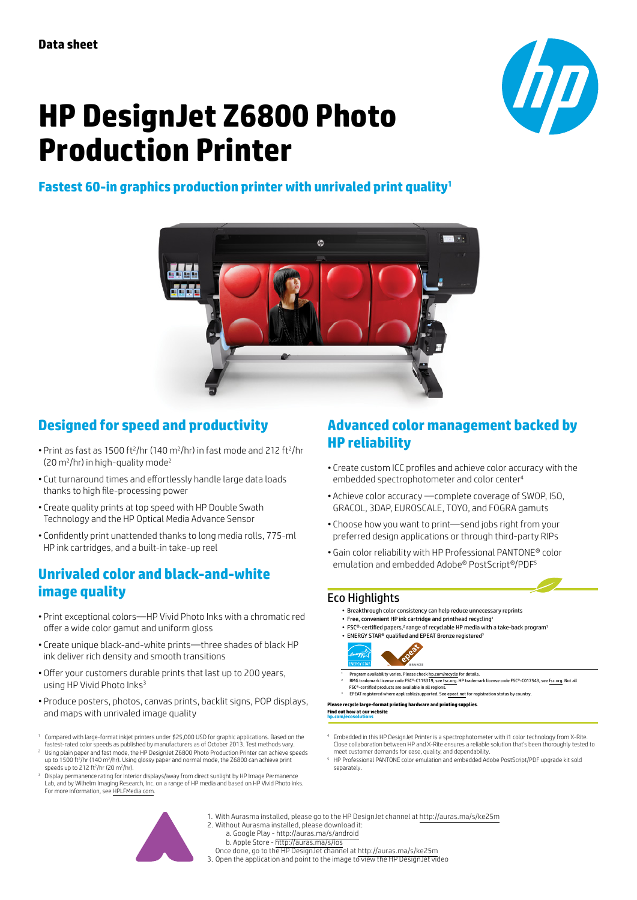# **ND**

## **HP DesignJet Z6800 Photo Production Printer**

#### **Fastest 60-in graphics production printer with unrivaled print quality1**



### **Designed for speed and productivity**

- Print as fast as 1500 ft<sup>2</sup>/hr (140 m<sup>2</sup>/hr) in fast mode and 212 ft<sup>2</sup>/hr  $(20 \text{ m}^2/\text{hr})$  in high-quality mode<sup>2</sup>
- Cut turnaround times and effortlessly handle large data loads thanks to high file-processing power
- Create quality prints at top speed with HP Double Swath Technology and the HP Optical Media Advance Sensor
- Confidently print unattended thanks to long media rolls, 775-ml HP ink cartridges, and a built-in take-up reel

#### **Unrivaled color and black-and-white image quality**

- Print exceptional colors—HP Vivid Photo Inks with a chromatic red offer a wide color gamut and uniform gloss
- Create unique black-and-white prints—three shades of black HP ink deliver rich density and smooth transitions
- Offer your customers durable prints that last up to 200 years, using HP Vivid Photo Inks<sup>3</sup>
- Produce posters, photos, canvas prints, backlit signs, POP displays, and maps with unrivaled image quality
- <sup>1</sup> Compared with large-format inkjet printers under \$25,000 USD for graphic applications. Based on the fastest-rated color speeds as published by manufacturers as of October 2013. Test methods vary.
- <sup>2</sup> Using plain paper and fast mode, the HP DesignJet Z6800 Photo Production Printer can achieve speeds up to 1500 ft<sup>2</sup>/hr (140 m<sup>2</sup>/hr). Using glossy paper and normal mode, the Z6800 can achieve print speeds up to 212 ft<sup>2</sup>/hr (20 m<sup>2</sup>/hr).
- <sup>3</sup> Display permanence rating for interior displays/away from direct sunlight by HP Image Permanence Lab, and by Wilhelm Imaging Research, Inc. on a range of HP media and based on HP Vivid Photo inks. For more information, see [HPLFMedia.com.](http://HPLFMedia.com)



#### **Advanced color management backed by HP reliability**

- Create custom ICC profiles and achieve color accuracy with the embedded spectrophotometer and color center<sup>4</sup>
- Achieve color accuracy —complete coverage of SWOP, ISO, GRACOL, 3DAP, EUROSCALE, TOYO, and FOGRA gamuts
- Choose how you want to print—send jobs right from your preferred design applications or through third-party RIPs
- Gain color reliability with HP Professional PANTONE® color emulation and embedded Adobe® PostScript®/PDF<sup>5</sup>

#### Eco Highlights

- Breakthrough color consistency can help reduce unnecessary reprints
- Free, convenient HP ink cartridge and printhead recycling
- FSC®-certified papers,<sup>2</sup> range of recyclable HP media with a take-back program • ENERGY STAR® qualified and EPEAT Bronze registered<sup>3</sup>



e chec[k hp.com/recycle](www.hp.com/recycle) for details ng trademark license code FSC®-C115319, se[e fsc.org. H](www.fsc.org)P trademark license code FSC®-C017543, se[e fsc.org. N](www.fsc.org)ot all -certified products are available in all regi

<sup>3</sup> EPEAT registered where applicable/supported. Se[e epeat.net fo](www.epeat.net)r registration status by country.

**Please recycle large-format printing hardware and printing supplies. [Find out how at our webs](www.hp.com/ecosolutions)ite [hp.com/ecosolutions](www.hp.com/ecosolutions)**

- <sup>4</sup> Embedded in this HP DesignJet Printer is a spectrophotometer with i1 color technology from X-Rite. Close collaboration between HP and X-Rite ensures a reliable solution that's been thoroughly tested to meet customer demands for ease, quality, and dependability.
- <sup>5</sup> HP Professional PANTONE color emulation and embedded Adobe PostScript/PDF upgrade kit sold separately.
- 1. With Aurasma installed, please go to the HP DesignJet channel at [http://auras.ma/s/ke25](http://auras.ma/s/ke25m)m 2. Without Aurasma installed, please download it: a. Google Play -<http://auras.ma/s/android>

Once done, go to the HP DesignJet channel at <http://auras.ma/s/ke25m> 3. Open the application and point to the image to view the HP DesignJet video

b. Apple Store -<http://auras.ma/s/ios>